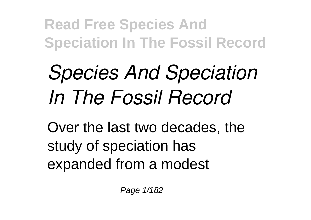## *Species And Speciation In The Fossil Record*

Over the last two decades, the study of speciation has expanded from a modest

Page 1/182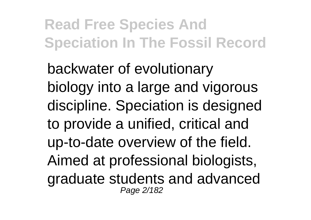backwater of evolutionary biology into a large and vigorous discipline. Speciation is designed to provide a unified, critical and up-to-date overview of the field. Aimed at professional biologists, graduate students and advanced Page 2/182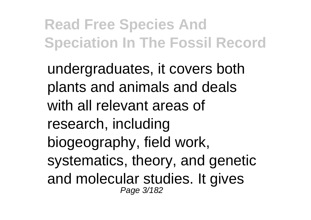undergraduates, it covers both plants and animals and deals with all relevant areas of research, including biogeography, field work, systematics, theory, and genetic and molecular studies. It gives Page 3/182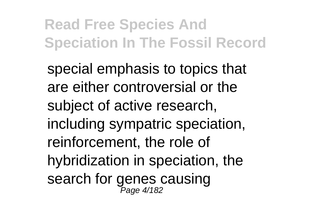special emphasis to topics that are either controversial or the subject of active research, including sympatric speciation, reinforcement, the role of hybridization in speciation, the search for genes causing<br><sup>Page 4/182</sup>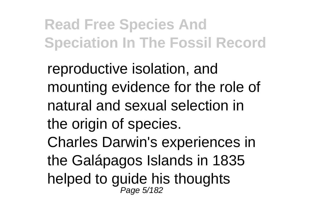reproductive isolation, and mounting evidence for the role of natural and sexual selection in the origin of species. Charles Darwin's experiences in the Galápagos Islands in 1835 helped to guide his thoughts Page 5/182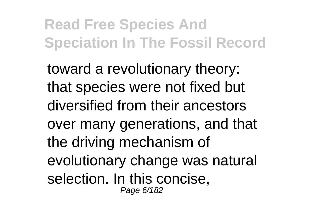toward a revolutionary theory: that species were not fixed but diversified from their ancestors over many generations, and that the driving mechanism of evolutionary change was natural selection. In this concise, Page 6/182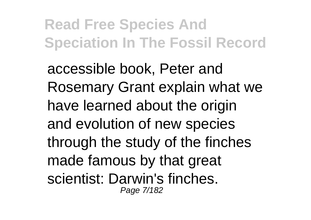accessible book, Peter and Rosemary Grant explain what we have learned about the origin and evolution of new species through the study of the finches made famous by that great scientist: Darwin's finches. Page 7/182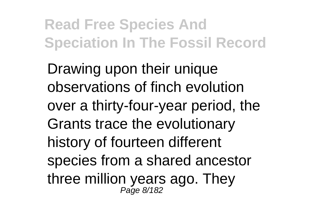Drawing upon their unique observations of finch evolution over a thirty-four-year period, the Grants trace the evolutionary history of fourteen different species from a shared ancestor three million years ago. They<br>
Page 8/182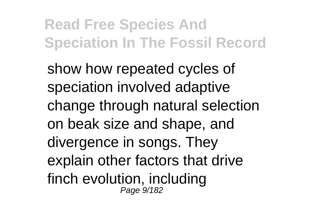show how repeated cycles of speciation involved adaptive change through natural selection on beak size and shape, and divergence in songs. They explain other factors that drive finch evolution, including Page 9/182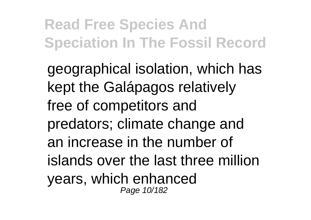geographical isolation, which has kept the Galápagos relatively free of competitors and predators; climate change and an increase in the number of islands over the last three million years, which enhanced Page 10/182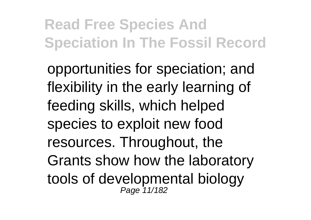opportunities for speciation; and flexibility in the early learning of feeding skills, which helped species to exploit new food resources. Throughout, the Grants show how the laboratory tools of developmental biology Page 11/182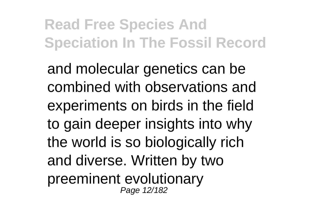and molecular genetics can be combined with observations and experiments on birds in the field to gain deeper insights into why the world is so biologically rich and diverse. Written by two preeminent evolutionary Page 12/182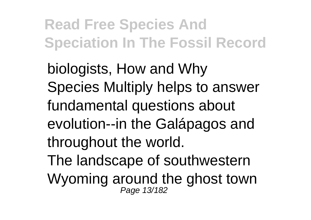biologists, How and Why Species Multiply helps to answer fundamental questions about evolution--in the Galápagos and throughout the world. The landscape of southwestern Wyoming around the ghost town Page 13/182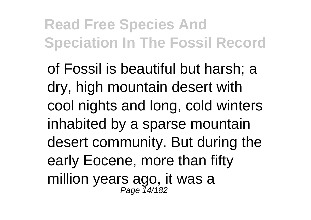of Fossil is beautiful but harsh; a dry, high mountain desert with cool nights and long, cold winters inhabited by a sparse mountain desert community. But during the early Eocene, more than fifty million years ago, it was a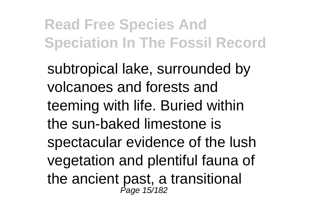subtropical lake, surrounded by volcanoes and forests and teeming with life. Buried within the sun-baked limestone is spectacular evidence of the lush vegetation and plentiful fauna of the ancient past, a transitional<br> *Page 15/182*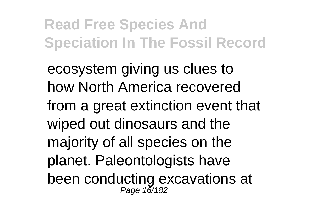ecosystem giving us clues to how North America recovered from a great extinction event that wiped out dinosaurs and the majority of all species on the planet. Paleontologists have been conducting excavations at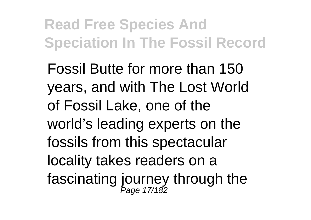Fossil Butte for more than 150 years, and with The Lost World of Fossil Lake, one of the world's leading experts on the fossils from this spectacular locality takes readers on a fascinating journey through the<br> **Page 17/182**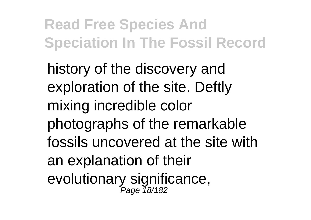history of the discovery and exploration of the site. Deftly mixing incredible color photographs of the remarkable fossils uncovered at the site with an explanation of their evolutionary significance,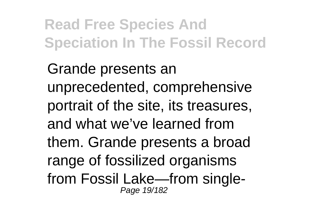Grande presents an unprecedented, comprehensive portrait of the site, its treasures, and what we've learned from them. Grande presents a broad range of fossilized organisms from Fossil Lake—from single-Page 19/182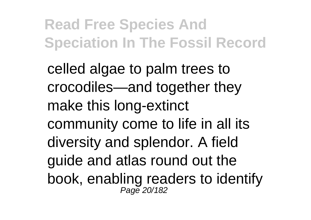celled algae to palm trees to crocodiles—and together they make this long-extinct community come to life in all its diversity and splendor. A field guide and atlas round out the book, enabling readers to identify Page 20/182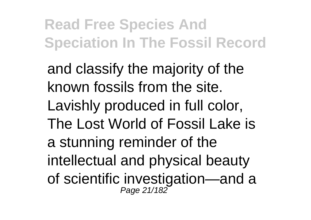and classify the majority of the known fossils from the site. Lavishly produced in full color, The Lost World of Fossil Lake is a stunning reminder of the intellectual and physical beauty of scientific investigation—and a Page 21/182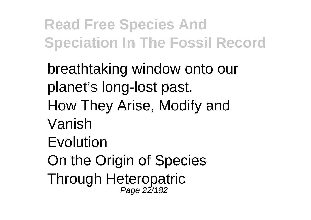breathtaking window onto our planet's long-lost past. How They Arise, Modify and Vanish Evolution On the Origin of Species Through Heteropatric Page 22/182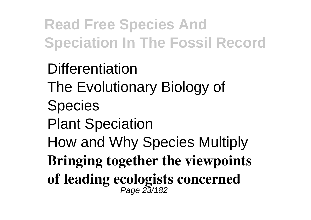Differentiation The Evolutionary Biology of Species Plant Speciation How and Why Species Multiply **Bringing together the viewpoints of leading ecologists concerned** Page 23/182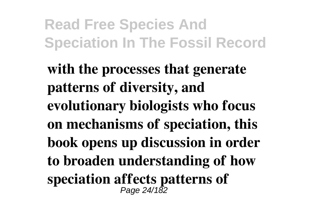**with the processes that generate patterns of diversity, and evolutionary biologists who focus on mechanisms of speciation, this book opens up discussion in order to broaden understanding of how speciation affects patterns of** Page 24/182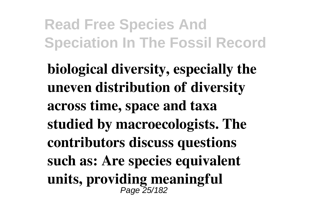**biological diversity, especially the uneven distribution of diversity across time, space and taxa studied by macroecologists. The contributors discuss questions such as: Are species equivalent units, providing meaningful** Page 25/182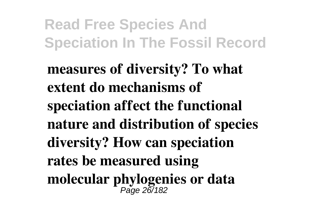**measures of diversity? To what extent do mechanisms of speciation affect the functional nature and distribution of species diversity? How can speciation rates be measured using molecular phylogenies or data** Page 26/182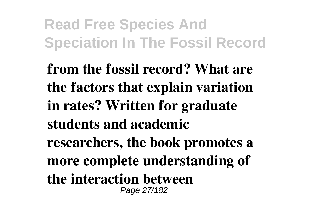**from the fossil record? What are the factors that explain variation in rates? Written for graduate students and academic researchers, the book promotes a more complete understanding of the interaction between** Page 27/182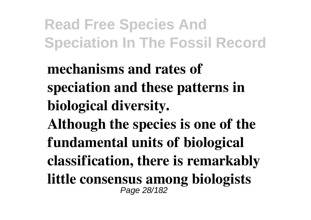**mechanisms and rates of speciation and these patterns in biological diversity. Although the species is one of the fundamental units of biological classification, there is remarkably little consensus among biologists** Page 28/182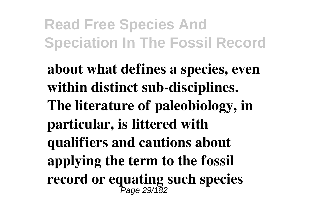**about what defines a species, even within distinct sub-disciplines. The literature of paleobiology, in particular, is littered with qualifiers and cautions about applying the term to the fossil record or equating such species** Page 29/182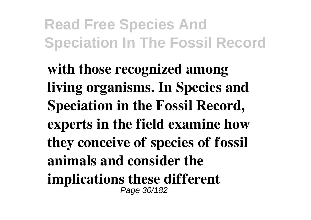**with those recognized among living organisms. In Species and Speciation in the Fossil Record, experts in the field examine how they conceive of species of fossil animals and consider the implications these different** Page 30/182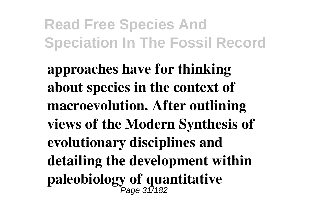**approaches have for thinking about species in the context of macroevolution. After outlining views of the Modern Synthesis of evolutionary disciplines and detailing the development within paleobiology of quantitative** Page 31/182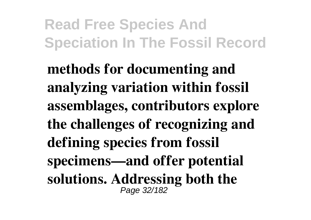**methods for documenting and analyzing variation within fossil assemblages, contributors explore the challenges of recognizing and defining species from fossil specimens—and offer potential solutions. Addressing both the** Page 32/182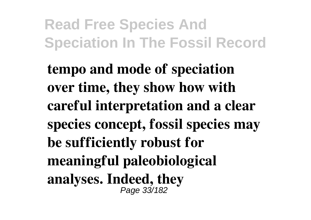**tempo and mode of speciation over time, they show how with careful interpretation and a clear species concept, fossil species may be sufficiently robust for meaningful paleobiological analyses. Indeed, they** Page 33/182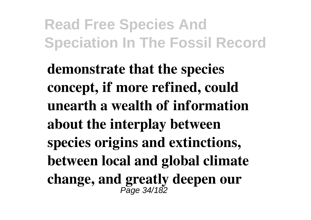**demonstrate that the species concept, if more refined, could unearth a wealth of information about the interplay between species origins and extinctions, between local and global climate change, and greatly deepen our** Page 34/182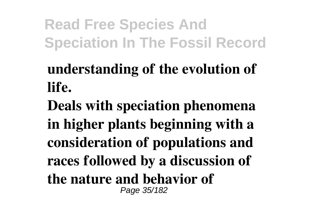## **understanding of the evolution of life.**

**Deals with speciation phenomena in higher plants beginning with a consideration of populations and races followed by a discussion of the nature and behavior of** Page 35/182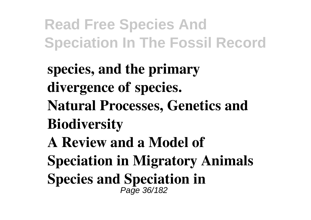**species, and the primary divergence of species. Natural Processes, Genetics and Biodiversity A Review and a Model of Speciation in Migratory Animals Species and Speciation in** Page 36/182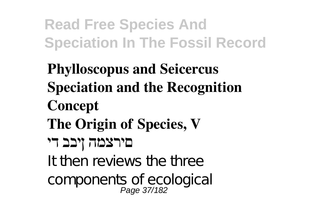**Phylloscopus and Seicercus Speciation and the Recognition Concept The Origin of Species, V םירצמה ןיבב די** It then reviews the three components of ecological<br>
Page 37/182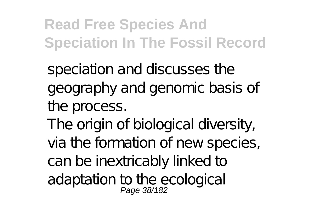speciation and discusses the geography and genomic basis of the process. The origin of biological diversity, via the formation of new species, can be inextricably linked to adaptation to the ecological<br>Page 38/182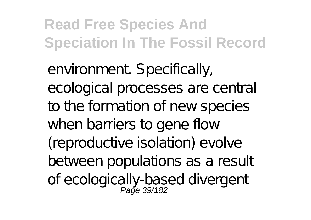environment. Specifically, ecological processes are central to the formation of new species when barriers to gene flow (reproductive isolation) evolve between populations as a result ofecologically-based divergent<br>Page 39/182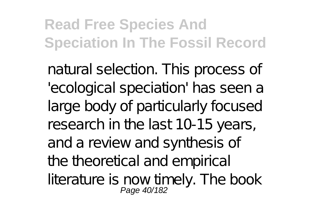natural selection. This process of 'ecological speciation' has seen a large body of particularly focused research in the last 10-15 years, and a review and synthesis of the theoretical and empirical literature is now timely. The book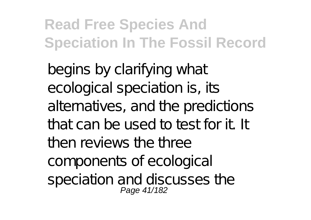begins by clarifying what ecological speciation is, its alternatives, and the predictions that can be used to test for it. It then reviews the three components of ecological speciation and discusses the Page 41/182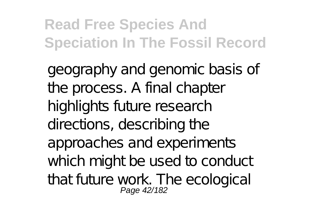geography and genomic basis of the process. A final chapter highlights future research directions, describing the approaches and experiments which might be used to conduct that future work. The ecological Page 42/182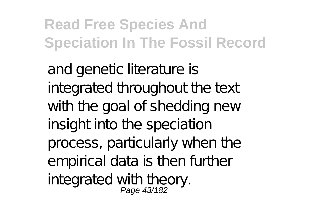and genetic literature is integrated throughout the text with the goal of shedding new insight into the speciation process, particularly when the empirical data is then further integrated with theory.<br>Page 43/182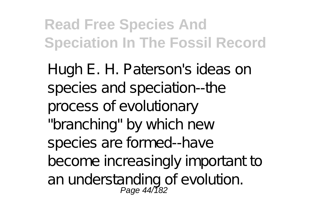Hugh E. H. Paterson's ideas on species and speciation--the process of evolutionary "branching" by which new species are formed--have become increasingly important to an understanding of evolution.<br>Page 44/182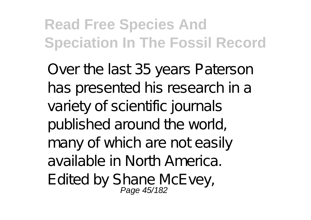Over the last 35 years Paterson has presented his research in a variety of scientific journals published around the world, many of which are not easily available in North America. Edited by Shane McEvey,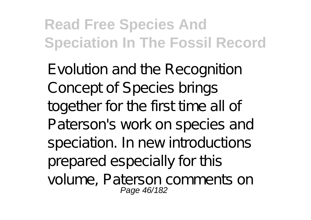Evolution and the Recognition Concept of Species brings together for the first time all of Paterson's work on species and speciation. In new introductions prepared especially for this volume, Paterson comments on Page 46/182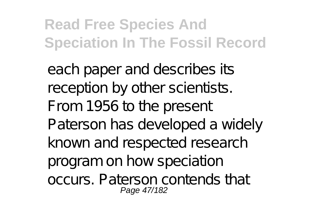each paper and describes its reception by other scientists. From 1956 to the present Paterson has developed a widely known and respected research program on how speciation occurs. Paterson contends that Page 47/182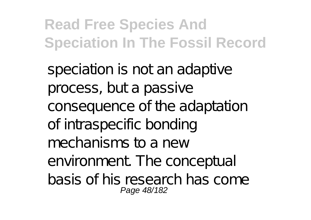speciation is not an adaptive process, but a passive consequence of the adaptation of intraspecific bonding mechanisms to a new environment. The conceptual basis of his research has come Page 48/182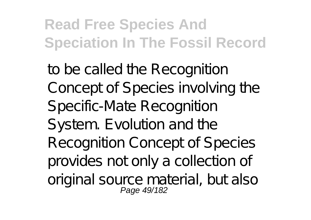to be called the Recognition Concept of Species involving the Specific-Mate Recognition System. Evolution and the Recognition Concept of Species provides not only a collection of original source material, but also Page 49/182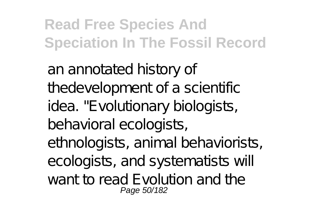an annotated history of thedevelopment of a scientific idea. "Evolutionary biologists, behavioral ecologists, ethnologists, animal behaviorists, ecologists, and systematists will want to read Evolution and the Page 50/182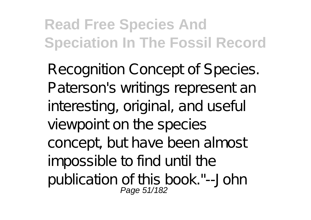Recognition Concept of Species. Paterson's writings represent an interesting, original, and useful viewpoint on the species concept, but have been almost impossible to find until the publication of this book."--John Page 51/182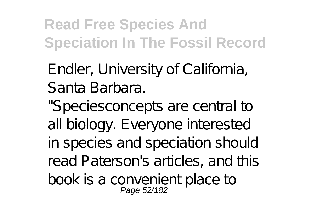Endler, University of California, Santa Barbara.

"Speciesconcepts are central to all biology. Everyone interested in species and speciation should read Paterson's articles, and this book is a convenient place to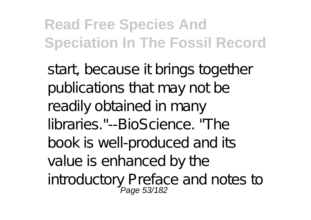start, because it brings together publications that may not be readily obtained in many libraries."--BioScience. "The book is well-produced and its value is enhanced by the introductory Preface and notes to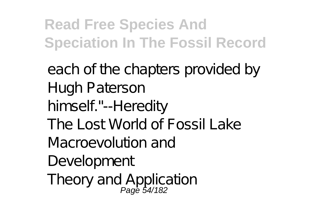each of the chapters provided by Hugh Paterson himself."--Heredity The Lost World of Fossil Lake Macroevolution and Development Theory and Application<br>Page 54/182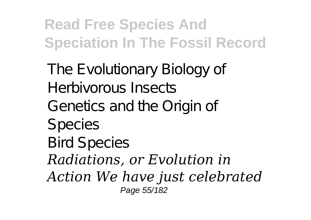The Evolutionary Biology of Herbivorous Insects Genetics and the Origin of Species Bird Species *Radiations, or Evolution in Action We have just celebrated* Page 55/182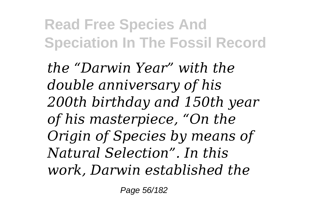*the "Darwin Year" with the double anniversary of his 200th birthday and 150th year of his masterpiece, "On the Origin of Species by means of Natural Selection". In this work, Darwin established the*

Page 56/182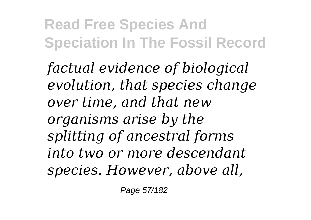*factual evidence of biological evolution, that species change over time, and that new organisms arise by the splitting of ancestral forms into two or more descendant species. However, above all,*

Page 57/182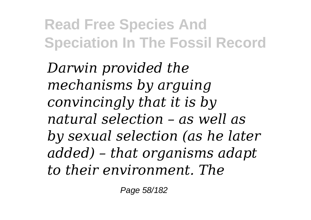*Darwin provided the mechanisms by arguing convincingly that it is by natural selection – as well as by sexual selection (as he later added) – that organisms adapt to their environment. The*

Page 58/182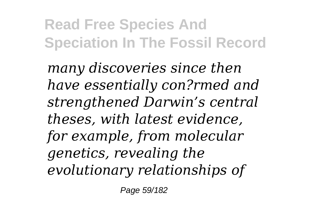*many discoveries since then have essentially con?rmed and strengthened Darwin's central theses, with latest evidence, for example, from molecular genetics, revealing the evolutionary relationships of*

Page 59/182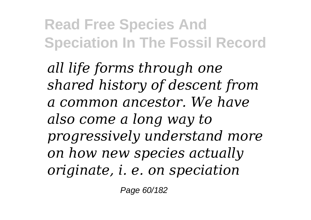*all life forms through one shared history of descent from a common ancestor. We have also come a long way to progressively understand more on how new species actually originate, i. e. on speciation*

Page 60/182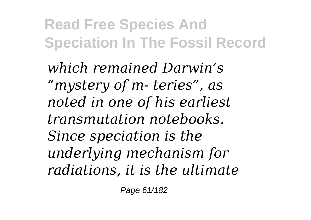*which remained Darwin's "mystery of m- teries", as noted in one of his earliest transmutation notebooks. Since speciation is the underlying mechanism for radiations, it is the ultimate*

Page 61/182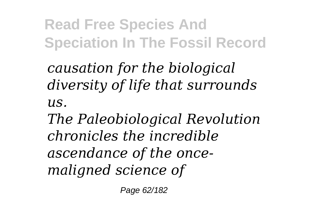*causation for the biological diversity of life that surrounds us.*

*The Paleobiological Revolution chronicles the incredible ascendance of the oncemaligned science of*

Page 62/182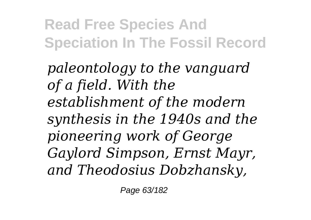*paleontology to the vanguard of a field. With the establishment of the modern synthesis in the 1940s and the pioneering work of George Gaylord Simpson, Ernst Mayr, and Theodosius Dobzhansky,*

Page 63/182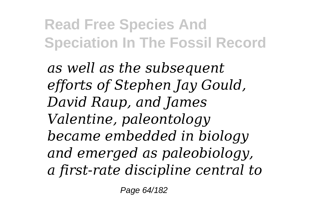*as well as the subsequent efforts of Stephen Jay Gould, David Raup, and James Valentine, paleontology became embedded in biology and emerged as paleobiology, a first-rate discipline central to*

Page 64/182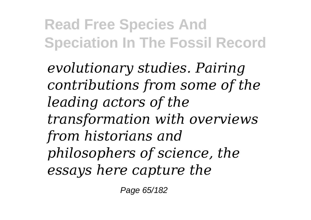*evolutionary studies. Pairing contributions from some of the leading actors of the transformation with overviews from historians and philosophers of science, the essays here capture the*

Page 65/182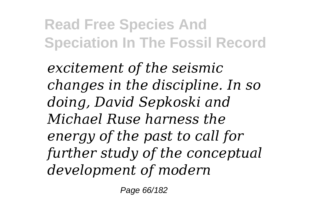*excitement of the seismic changes in the discipline. In so doing, David Sepkoski and Michael Ruse harness the energy of the past to call for further study of the conceptual development of modern*

Page 66/182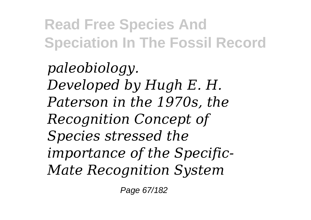*paleobiology. Developed by Hugh E. H. Paterson in the 1970s, the Recognition Concept of Species stressed the importance of the Specific-Mate Recognition System*

Page 67/182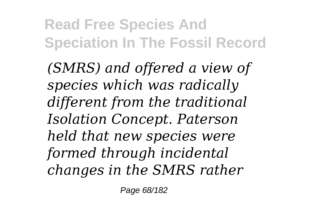*(SMRS) and offered a view of species which was radically different from the traditional Isolation Concept. Paterson held that new species were formed through incidental changes in the SMRS rather*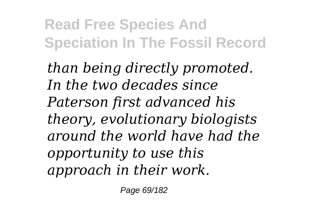*than being directly promoted. In the two decades since Paterson first advanced his theory, evolutionary biologists around the world have had the opportunity to use this approach in their work.*

Page 69/182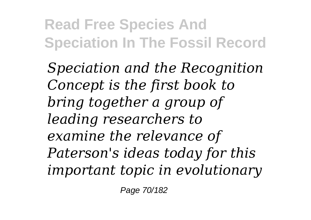*Speciation and the Recognition Concept is the first book to bring together a group of leading researchers to examine the relevance of Paterson's ideas today for this important topic in evolutionary*

Page 70/182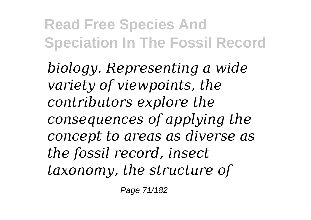*biology. Representing a wide variety of viewpoints, the contributors explore the consequences of applying the concept to areas as diverse as the fossil record, insect taxonomy, the structure of*

Page 71/182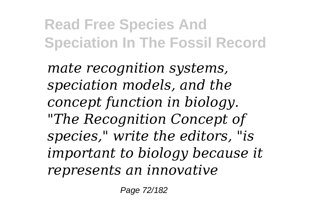*mate recognition systems, speciation models, and the concept function in biology. "The Recognition Concept of species," write the editors, "is important to biology because it represents an innovative*

Page 72/182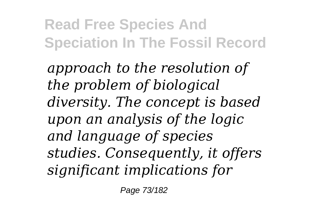*approach to the resolution of the problem of biological diversity. The concept is based upon an analysis of the logic and language of species studies. Consequently, it offers significant implications for*

Page 73/182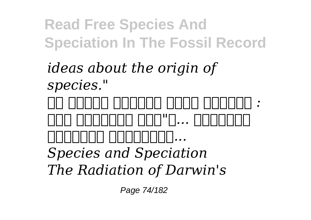*ideas about the origin of species." : םירצמה ןיבו תוינעת תוכלה לע םיקסופב ...ע"ושב וראבתנש יפכ ...םינורחאו םינושאר Species and Speciation The Radiation of Darwin's*

Page 74/182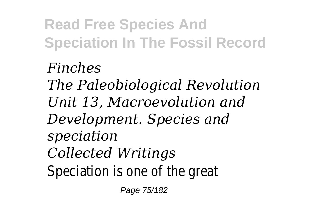*Finches The Paleobiological Revolution Unit 13, Macroevolution and Development. Species and speciation Collected Writings* Speciation is one of the great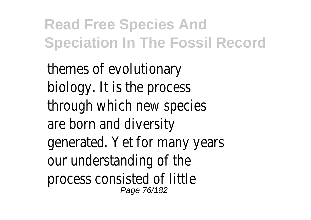themes of evolutionary biology. It is the process through which new species are born and diversity generated. Yet for many years our understanding of the process consisted of little Page 76/182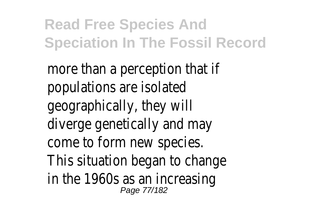more than a perception that if populations are isolated geographically, they will diverge genetically and may come to form new species. This situation began to change in the 1960s as an increasing Page 77/182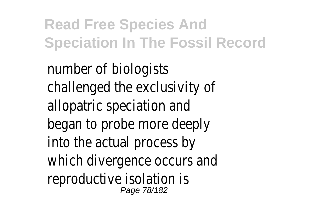number of biologists challenged the exclusivity of allopatric speciation and began to probe more deeply into the actual process by which divergence occurs and reproductive isolation is Page 78/182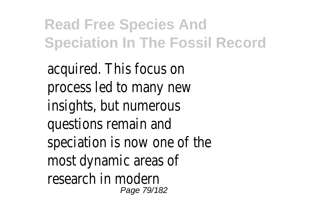acquired. This focus on process led to many new insights, but numerous questions remain and speciation is now one of the most dynamic areas of research in modern Page 79/182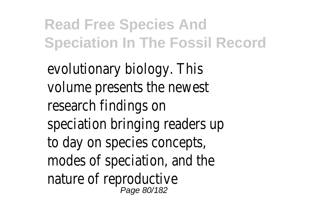evolutionary biology. This volume presents the newest research findings on speciation bringing readers up to day on species concepts, modes of speciation, and the nature of reproductive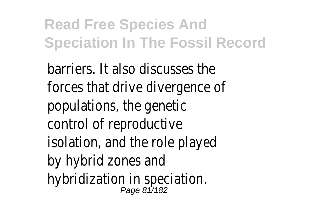barriers. It also discusses the forces that drive divergence of populations, the genetic control of reproductive isolation, and the role played by hybrid zones and hybridization in speciation.<br><sup>Page 81/182</sup>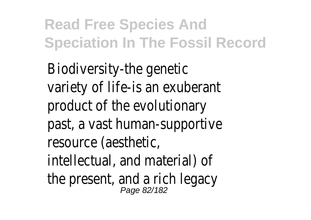Biodiversity-the genetic variety of life-is an exuberant product of the evolutionary past, a vast human-supportive resource (aesthetic, intellectual, and material) of the present, and a rich legacy Page 82/182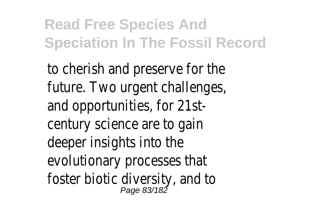to cherish and preserve for the future. Two urgent challenges, and opportunities, for 21stcentury science are to gain deeper insights into the evolutionary processes that foster biotic diversity, and to Page 83/182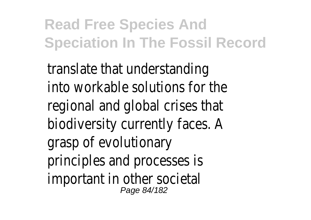translate that understanding into workable solutions for the regional and global crises that biodiversity currently faces. A grasp of evolutionary principles and processes is important in other societal Page 84/182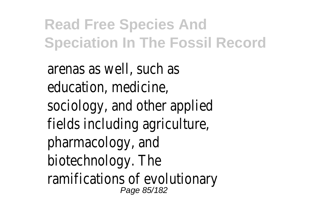arenas as well, such as education, medicine, sociology, and other applied fields including agriculture, pharmacology, and biotechnology. The ramifications of evolutionary Page 85/182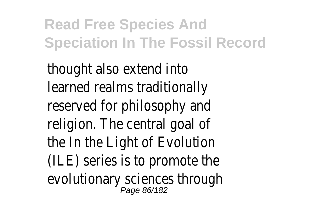thought also extend into learned realms traditionally reserved for philosophy and religion. The central goal of the In the Light of Evolution (ILE) series is to promote the evolutionary sciences through<br><sup>Page 86/182</sup>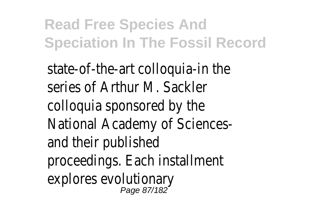state-of-the-art colloquia-in the series of Arthur M. Sackler colloquia sponsored by the National Academy of Sciencesand their published proceedings. Each installment explores evolutionary Page 87/182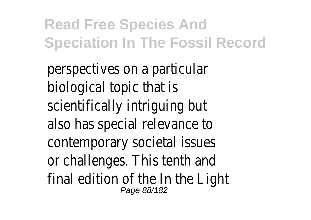perspectives on a particular biological topic that is scientifically intriguing but also has special relevance to contemporary societal issues or challenges. This tenth and final edition of the In the Light Page 88/182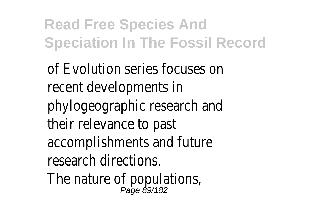of Evolution series focuses on recent developments in phylogeographic research and their relevance to past accomplishments and future research directions.

The nature of populations,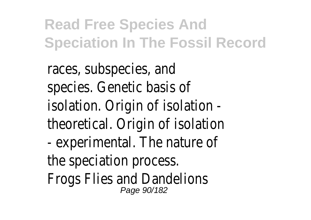races, subspecies, and species. Genetic basis of isolation. Origin of isolation theoretical. Origin of isolation - experimental. The nature of the speciation process. Frogs Flies and Dandelions Page 90/182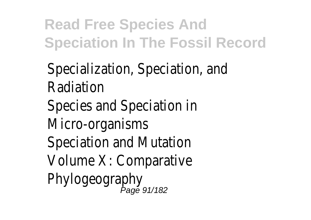Specialization, Speciation, and Radiation Species and Speciation in Micro-organisms Speciation and Mutation Volume X: Comparative Phylogeography<br>
Page 91/182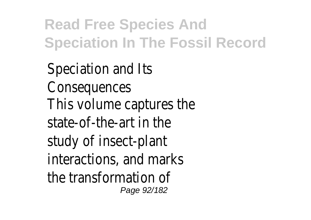Speciation and Its **Consequences** This volume captures the state-of-the-art in the study of insect-plant interactions, and marks the transformation of Page 92/182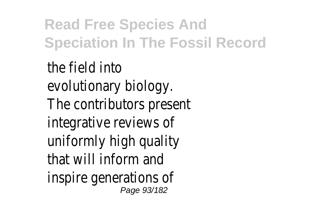the field into evolutionary biology. The contributors present integrative reviews of uniformly high quality that will inform and inspire generations of Page 93/182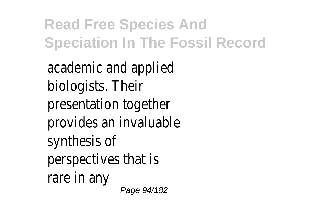academic and applied biologists. Their presentation together provides an invaluable synthesis of perspectives that is rare in any Page 94/182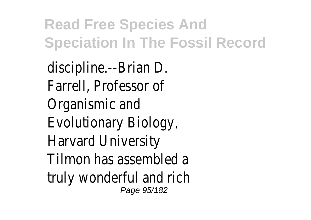discipline.--Brian D. Farrell, Professor of Organismic and Evolutionary Biology, Harvard University Tilmon has assembled a truly wonderful and rich Page 95/182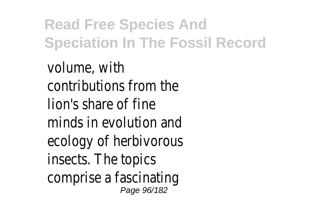volume, with contributions from the lion's share of fine minds in evolution and ecology of herbivorous insects. The topics comprise a fascinating Page 96/182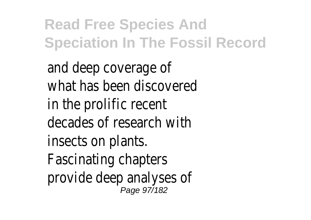and deep coverage of what has been discovered in the prolific recent decades of research with insects on plants. Fascinating chapters provide deep analyses of Page 97/182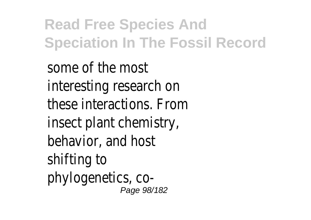some of the most interesting research on these interactions. From insect plant chemistry, behavior, and host shifting to phylogenetics, co-Page 98/182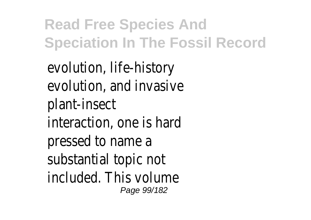evolution, life-history evolution, and invasive plant-insect interaction, one is hard pressed to name a substantial topic not included. This volume Page 99/182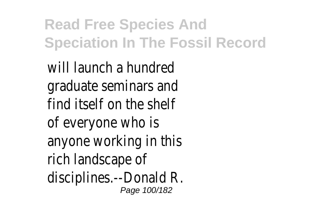will launch a hundred graduate seminars and find itself on the shelf of everyone who is anyone working in this rich landscape of disciplines.--Donald R. Page 100/182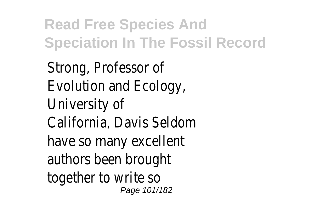Strong, Professor of Evolution and Ecology, University of California, Davis Seldom have so many excellent authors been brought together to write so Page 101/182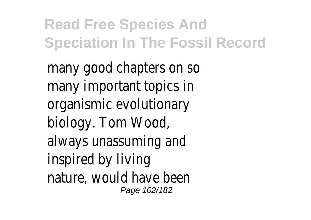many good chapters on so many important topics in organismic evolutionary biology. Tom Wood, always unassuming and inspired by living nature, would have been Page 102/182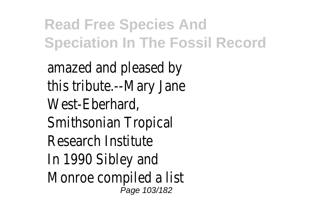amazed and pleased by this tribute.--Mary Jane West-Eberhard, Smithsonian Tropical Research Institute In 1990 Sibley and Monroe compiled a list Page 103/182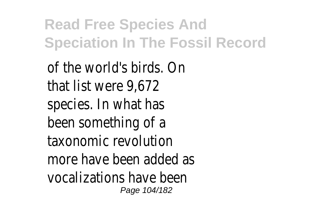of the world's birds. On that list were 9,672 species. In what has been something of a taxonomic revolution more have been added as vocalizations have been Page 104/182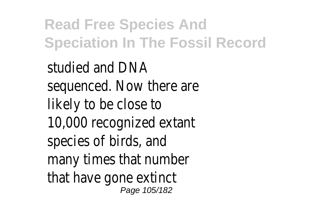studied and DNA sequenced. Now there are likely to be close to 10,000 recognized extant species of birds, and many times that number that have gone extinct Page 105/182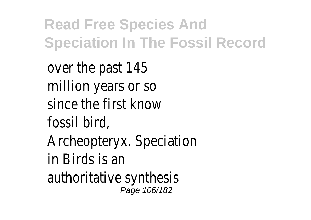over the past 145 million years or so since the first know fossil bird, Archeopteryx. Speciation in Birds is an authoritative synthesis Page 106/182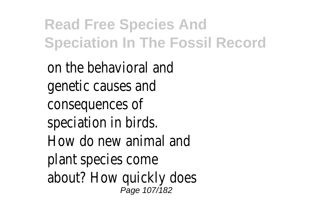on the behavioral and genetic causes and consequences of speciation in birds. How do new animal and plant species come about? How quickly does Page 107/182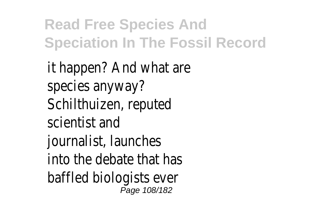it happen? And what are species anyway? Schilthuizen, reputed scientist and journalist, launches into the debate that has baffled biologists ever Page 108/182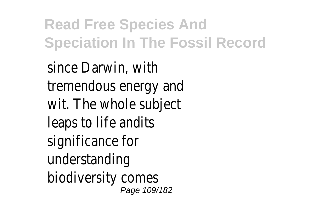since Darwin, with tremendous energy and wit. The whole subject leaps to life andits significance for understanding biodiversity comes Page 109/182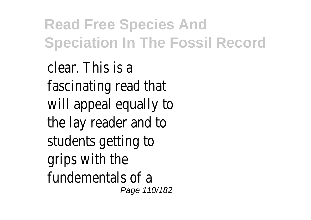clear. This is a fascinating read that will appeal equally to the lay reader and to students getting to grips with the fundementals of a Page 110/182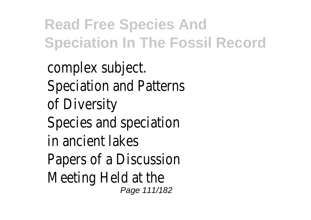complex subject. Speciation and Patterns of Diversity Species and speciation in ancient lakes Papers of a Discussion Meeting Held at the Page 111/182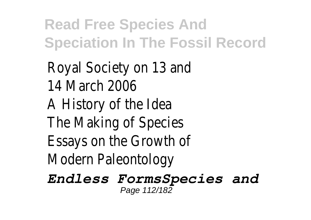Royal Society on 13 and 14 March 2006 A History of the Idea The Making of Species Essays on the Growth of Modern Paleontology

*Endless FormsSpecies and* Page 112/182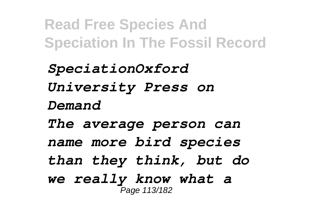*SpeciationOxford University Press on Demand The average person can name more bird species than they think, but do we really know what a* Page 113/182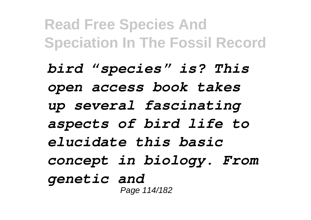*bird "species" is? This open access book takes up several fascinating aspects of bird life to elucidate this basic concept in biology. From genetic and* Page 114/182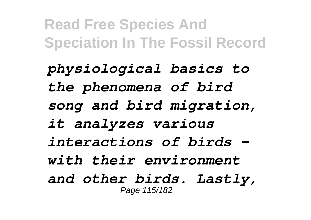*physiological basics to the phenomena of bird song and bird migration, it analyzes various interactions of birds – with their environment and other birds. Lastly,* Page 115/182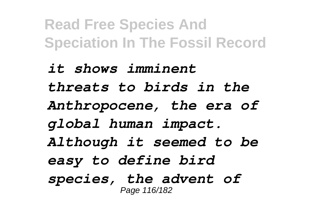*it shows imminent threats to birds in the Anthropocene, the era of global human impact. Although it seemed to be easy to define bird species, the advent of* Page 116/182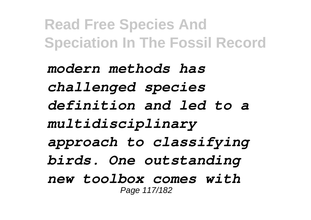*modern methods has challenged species definition and led to a multidisciplinary approach to classifying birds. One outstanding new toolbox comes with* Page 117/182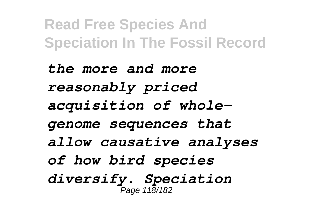*the more and more reasonably priced acquisition of wholegenome sequences that allow causative analyses of how bird species diversify. Speciation* Page 118/182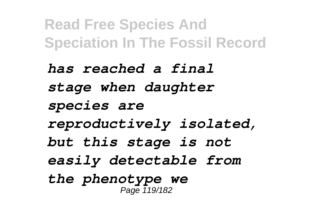*has reached a final stage when daughter species are reproductively isolated, but this stage is not easily detectable from the phenotype we* Page 119/182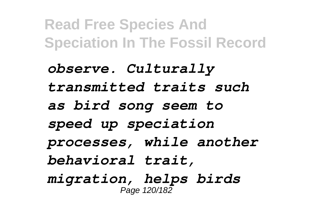*observe. Culturally transmitted traits such as bird song seem to speed up speciation processes, while another behavioral trait, migration, helps birds* Page 120/182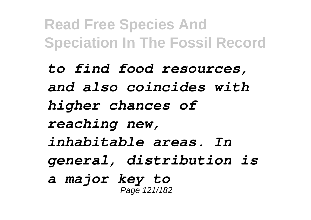*to find food resources, and also coincides with higher chances of reaching new, inhabitable areas. In general, distribution is a major key to* Page 121/182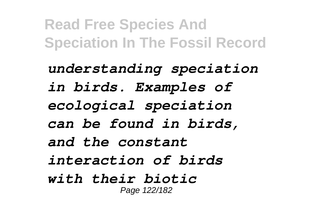*understanding speciation in birds. Examples of ecological speciation can be found in birds, and the constant interaction of birds with their biotic* Page 122/182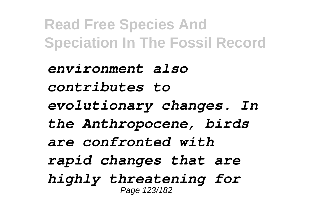*environment also contributes to evolutionary changes. In the Anthropocene, birds are confronted with rapid changes that are highly threatening for* Page 123/182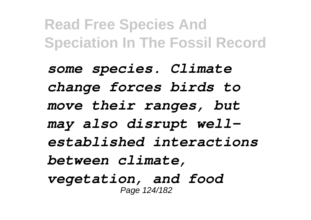*some species. Climate change forces birds to move their ranges, but may also disrupt wellestablished interactions between climate, vegetation, and food* Page 124/182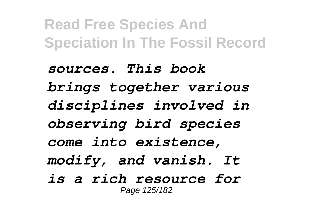*sources. This book brings together various disciplines involved in observing bird species come into existence, modify, and vanish. It is a rich resource for* Page 125/182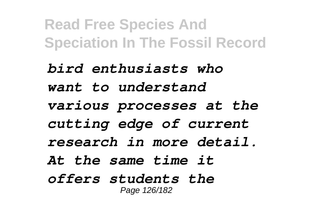*bird enthusiasts who want to understand various processes at the cutting edge of current research in more detail. At the same time it offers students the* Page 126/182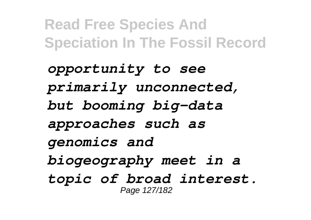*opportunity to see primarily unconnected, but booming big-data approaches such as genomics and biogeography meet in a topic of broad interest.* Page 127/182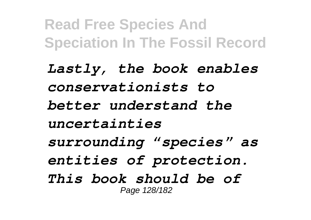*Lastly, the book enables conservationists to better understand the uncertainties surrounding "species" as entities of protection. This book should be of* Page 128/182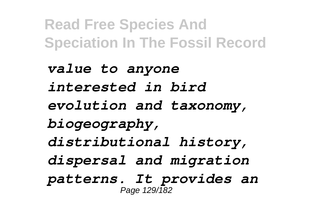*value to anyone interested in bird evolution and taxonomy, biogeography, distributional history, dispersal and migration patterns. It provides an* Page 129/182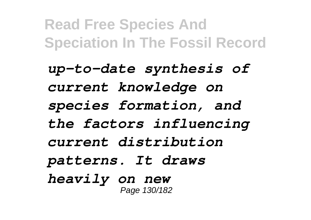*up-to-date synthesis of current knowledge on species formation, and the factors influencing current distribution patterns. It draws heavily on new* Page 130/182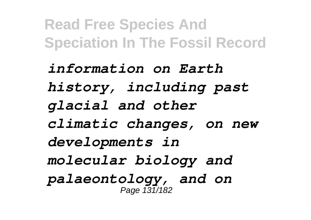*information on Earth history, including past glacial and other climatic changes, on new developments in molecular biology and palaeontology, and on* Page 131/182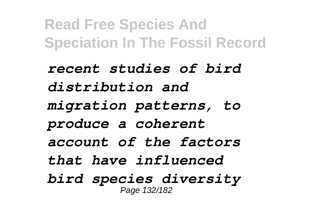*recent studies of bird distribution and migration patterns, to produce a coherent account of the factors that have influenced bird species diversity* Page 132/182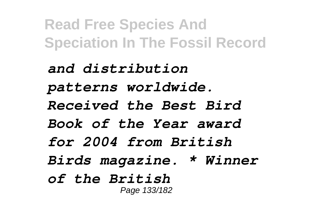*and distribution patterns worldwide. Received the Best Bird Book of the Year award for 2004 from British Birds magazine. \* Winner of the British* Page 133/182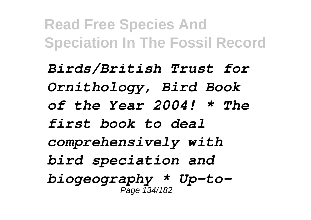*Birds/British Trust for Ornithology, Bird Book of the Year 2004! \* The first book to deal comprehensively with bird speciation and biogeography \* Up-to-*Page 134/182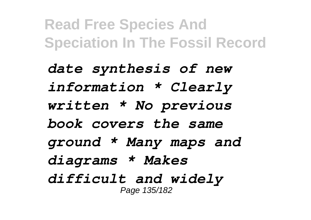*date synthesis of new information \* Clearly written \* No previous book covers the same ground \* Many maps and diagrams \* Makes difficult and widely* Page 135/182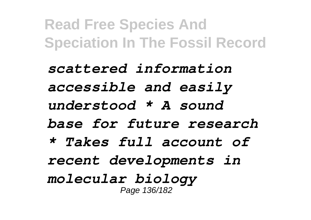*scattered information accessible and easily understood \* A sound base for future research \* Takes full account of recent developments in molecular biology* Page 136/182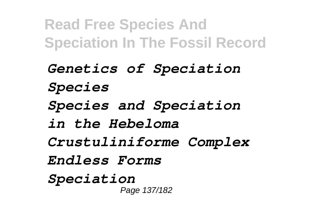*Genetics of Speciation Species Species and Speciation in the Hebeloma Crustuliniforme Complex Endless Forms Speciation* Page 137/182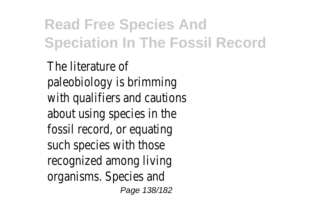The literature of paleobiology is brimming with qualifiers and cautions about using species in the fossil record, or equating such species with those recognized among living organisms. Species and Page 138/182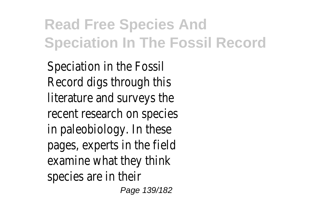Speciation in the Fossil Record digs through this literature and surveys the recent research on species in paleobiology. In these pages, experts in the field examine what they think species are in their

Page 139/182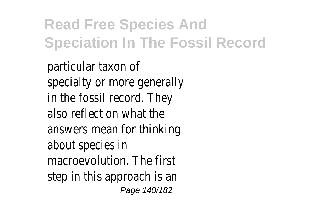particular taxon of specialty or more generally in the fossil record. They also reflect on what the answers mean for thinking about species in macroevolution. The first step in this approach is an Page 140/182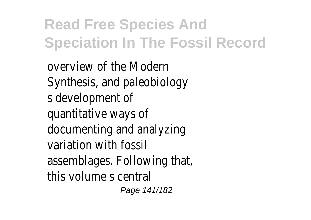overview of the Modern Synthesis, and paleobiology s development of quantitative ways of documenting and analyzing variation with fossil assemblages. Following that, this volume s central Page 141/182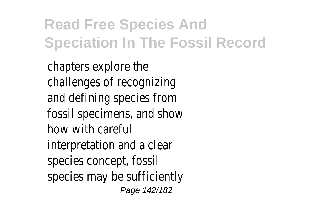chapters explore the challenges of recognizing and defining species from fossil specimens, and show how with careful interpretation and a clear species concept, fossil species may be sufficiently Page 142/182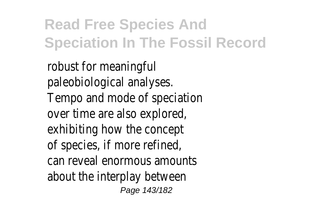robust for meaningful paleobiological analyses. Tempo and mode of speciation over time are also explored, exhibiting how the concept of species, if more refined, can reveal enormous amounts about the interplay between Page 143/182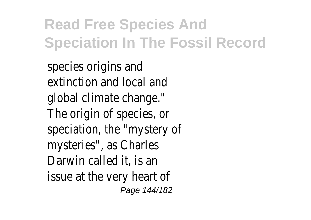species origins and extinction and local and global climate change." The origin of species, or speciation, the "mystery of mysteries", as Charles Darwin called it, is an issue at the very heart of Page 144/182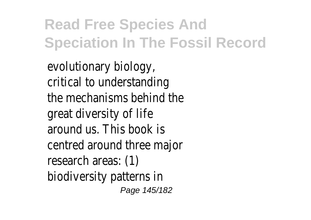evolutionary biology, critical to understanding the mechanisms behind the great diversity of life around us. This book is centred around three major research areas: (1) biodiversity patterns in Page 145/182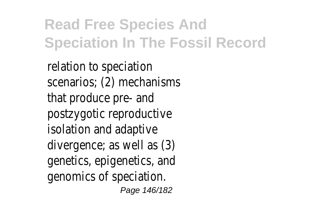relation to speciation scenarios; (2) mechanisms that produce pre- and postzygotic reproductive isolation and adaptive divergence; as well as (3) genetics, epigenetics, and genomics of speciation. Page 146/182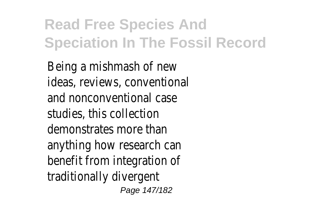Being a mishmash of new ideas, reviews, conventional and nonconventional case studies, this collection demonstrates more than anything how research can benefit from integration of traditionally divergent Page 147/182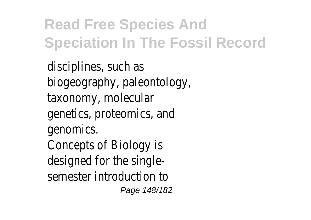disciplines, such as biogeography, paleontology, taxonomy, molecular genetics, proteomics, and genomics. Concepts of Biology is designed for the singlesemester introduction to Page 148/182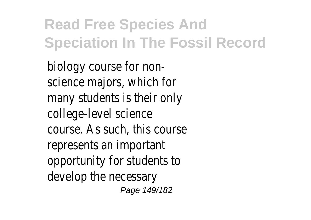biology course for nonscience majors, which for many students is their only college-level science course. As such, this course represents an important opportunity for students to develop the necessary Page 149/182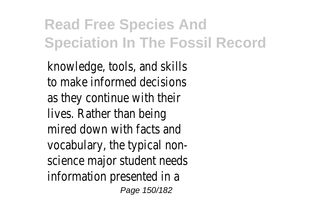knowledge, tools, and skills to make informed decisions as they continue with their lives. Rather than being mired down with facts and vocabulary, the typical nonscience major student needs information presented in a Page 150/182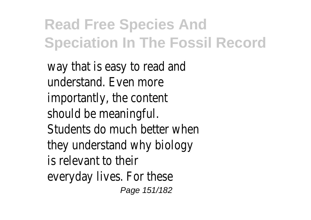way that is easy to read and understand. Even more importantly, the content should be meaningful. Students do much better when they understand why biology is relevant to their everyday lives. For these Page 151/182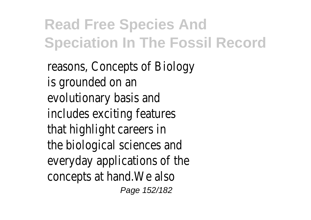reasons, Concepts of Biology is grounded on an evolutionary basis and includes exciting features that highlight careers in the biological sciences and everyday applications of the concepts at hand.We also Page 152/182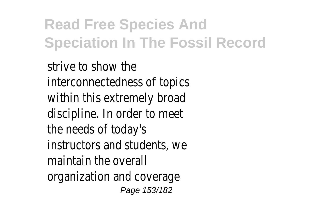strive to show the interconnectedness of topics within this extremely broad discipline. In order to meet the needs of today's instructors and students, we maintain the overall organization and coverage Page 153/182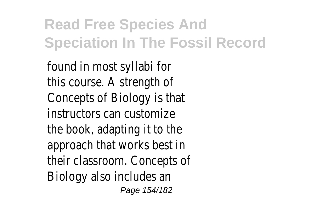found in most syllabi for this course. A strength of Concepts of Biology is that instructors can customize the book, adapting it to the approach that works best in their classroom. Concepts of Biology also includes an Page 154/182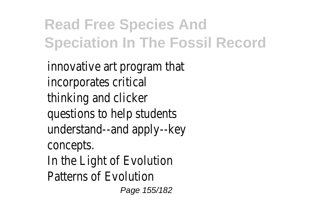innovative art program that incorporates critical thinking and clicker questions to help students understand--and apply--key concepts. In the Light of Evolution Patterns of Evolution Page 155/182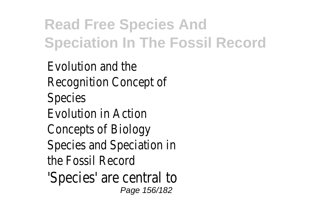Evolution and the Recognition Concept of Species Evolution in Action Concepts of Biology Species and Speciation in the Fossil Record 'Species' are central to Page 156/182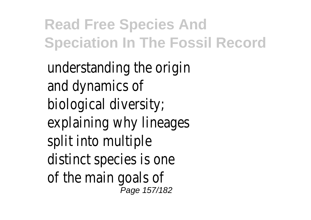understanding the origin and dynamics of biological diversity; explaining why lineages split into multiple distinct species is one of the main goals of Page 157/182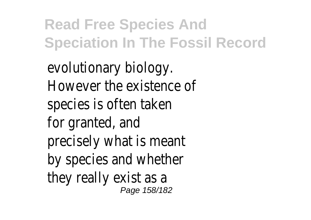evolutionary biology. However the existence of species is often taken for granted, and precisely what is meant by species and whether they really exist as a Page 158/182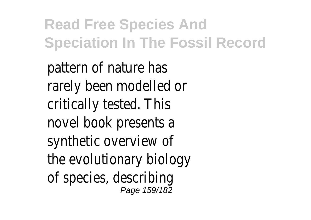pattern of nature has rarely been modelled or critically tested. This novel book presents a synthetic overview of the evolutionary biology of species, describing Page 159/182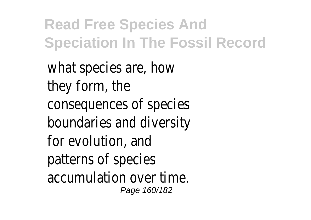what species are, how they form, the consequences of species boundaries and diversity for evolution, and patterns of species accumulation over time. Page 160/182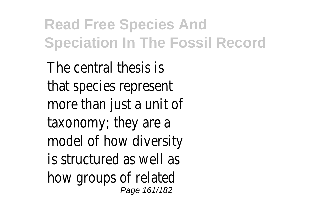The central thesis is that species represent more than just a unit of taxonomy; they are a model of how diversity is structured as well as how groups of related Page 161/182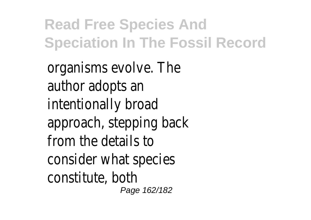organisms evolve. The author adopts an intentionally broad approach, stepping back from the details to consider what species constitute, both Page 162/182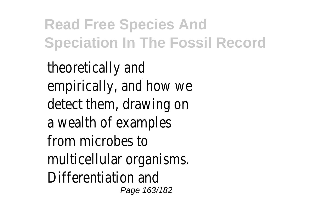theoretically and empirically, and how we detect them, drawing on a wealth of examples from microbes to multicellular organisms. Differentiation and Page 163/182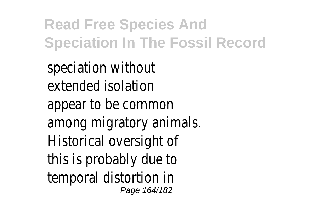speciation without extended isolation appear to be common among migratory animals. Historical oversight of this is probably due to temporal distortion in Page 164/182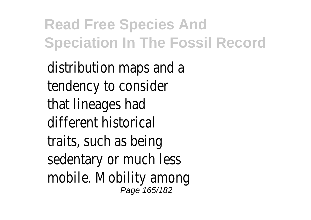distribution maps and a tendency to consider that lineages had different historical traits, such as being sedentary or much less mobile. Mobility among Page 165/182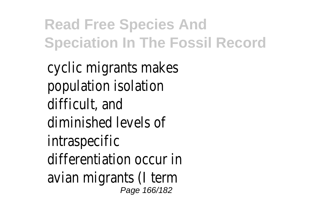cyclic migrants makes population isolation difficult, and diminished levels of intraspecific differentiation occur in avian migrants (I term Page 166/182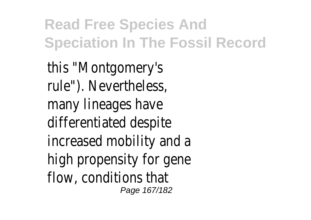this "Montgomery's rule"). Nevertheless, many lineages have differentiated despite increased mobility and a high propensity for gene flow, conditions that Page 167/182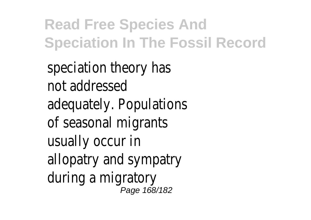speciation theory has not addressed adequately. Populations of seasonal migrants usually occur in allopatry and sympatry during a migratory Page 168/182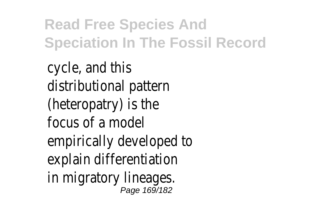cycle, and this distributional pattern (heteropatry) is the focus of a model empirically developed to explain differentiation in migratory lineages. Page 169/182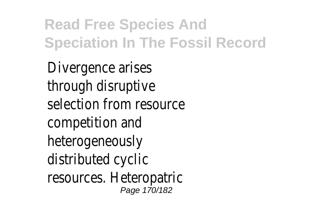Divergence arises through disruptive selection from resource competition and heterogeneously distributed cyclic resources. Heteropatric Page 170/182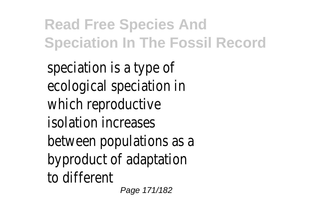speciation is a type of ecological speciation in which reproductive isolation increases between populations as a byproduct of adaptation to different Page 171/182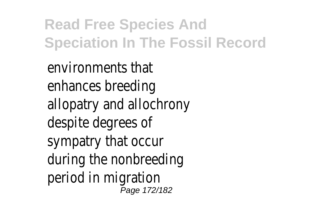environments that enhances breeding allopatry and allochrony despite degrees of sympatry that occur during the nonbreeding period in migration Page 172/182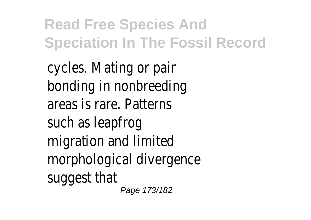cycles. Mating or pair bonding in nonbreeding areas is rare. Patterns such as leapfrog migration and limited morphological divergence suggest that Page 173/182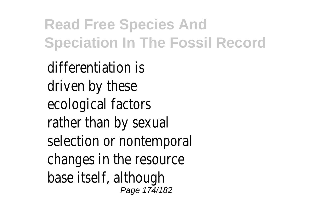differentiation is driven by these ecological factors rather than by sexual selection or nontemporal changes in the resource base itself, although Page 174/182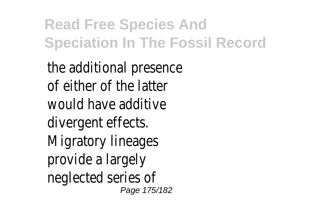the additional presence of either of the latter would have additive divergent effects. Migratory lineages provide a largely neglected series of Page 175/182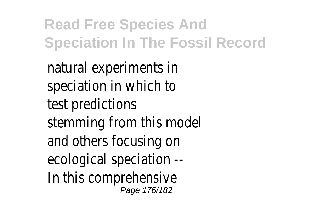natural experiments in speciation in which to test predictions stemming from this model and others focusing on ecological speciation -- In this comprehensive Page 176/182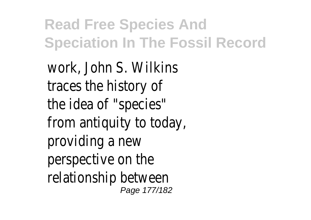work, John S. Wilkins traces the history of the idea of "species" from antiquity to today, providing a new perspective on the relationship between Page 177/182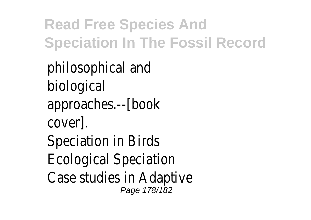philosophical and biological approaches.--[book cover]. Speciation in Birds Ecological Speciation Case studies in Adaptive Page 178/182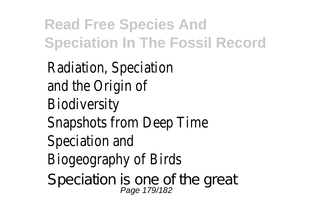Radiation, Speciation and the Origin of **Biodiversity** Snapshots from Deep Time Speciation and Biogeography of Birds Speciation is one of the great Page 179/182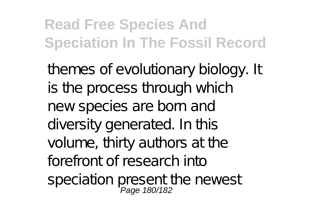themes of evolutionary biology. It is the process through which new species are born and diversity generated. In this volume, thirty authors at the forefront of research into speciation present the newest<br>Page 180/182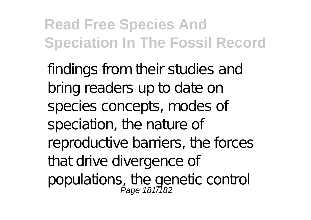**Read Free Species And Speciation In The Fossil Record**

findings from their studies and bring readers up to date on species concepts, modes of speciation, the nature of reproductive barriers, the forces that drive divergence of populations, the genetic control